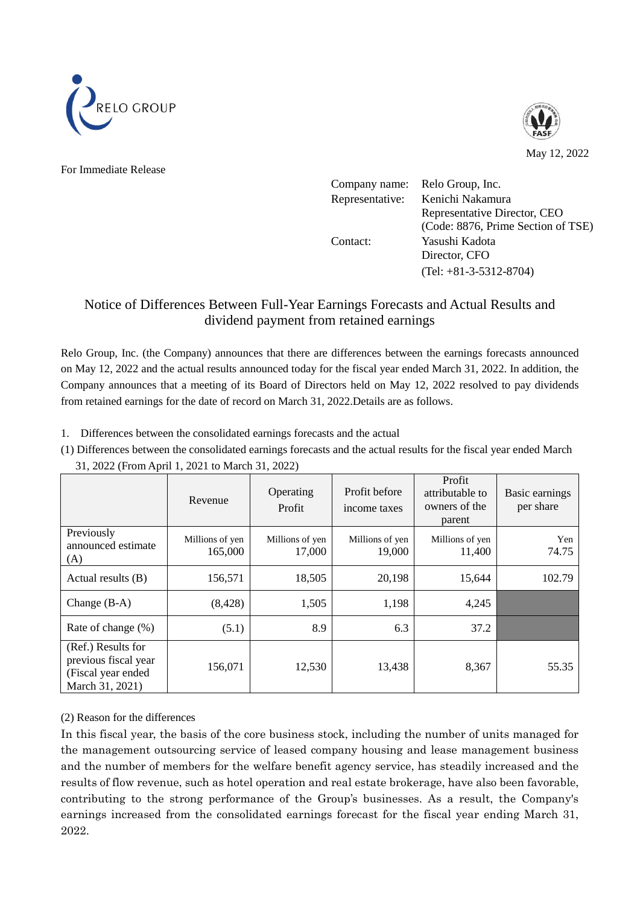



For Immediate Release

| Company name:   | Relo Group, Inc.                   |
|-----------------|------------------------------------|
| Representative: | Kenichi Nakamura                   |
|                 | Representative Director, CEO       |
|                 | (Code: 8876, Prime Section of TSE) |
| Contact:        | Yasushi Kadota                     |
|                 | Director, CFO                      |
|                 | $(Tel: +81-3-5312-8704)$           |

# Notice of Differences Between Full-Year Earnings Forecasts and Actual Results and dividend payment from retained earnings

Relo Group, Inc. (the Company) announces that there are differences between the earnings forecasts announced on May 12, 2022 and the actual results announced today for the fiscal year ended March 31, 2022. In addition, the Company announces that a meeting of its Board of Directors held on May 12, 2022 resolved to pay dividends from retained earnings for the date of record on March 31, 2022.Details are as follows.

1. Differences between the consolidated earnings forecasts and the actual

(1) Differences between the consolidated earnings forecasts and the actual results for the fiscal year ended March 31, 2022 (From April 1, 2021 to March 31, 2022)

|                                                                                     | Revenue                    | Operating<br>Profit       | Profit before<br>income taxes | Profit<br>attributable to<br>owners of the<br>parent | Basic earnings<br>per share |
|-------------------------------------------------------------------------------------|----------------------------|---------------------------|-------------------------------|------------------------------------------------------|-----------------------------|
| Previously<br>announced estimate<br>(A)                                             | Millions of yen<br>165,000 | Millions of yen<br>17,000 | Millions of yen<br>19,000     | Millions of yen<br>11,400                            | Yen<br>74.75                |
| Actual results (B)                                                                  | 156,571                    | 18,505                    | 20,198                        | 15,644                                               | 102.79                      |
| Change $(B-A)$                                                                      | (8, 428)                   | 1,505                     | 1,198                         | 4,245                                                |                             |
| Rate of change (%)                                                                  | (5.1)                      | 8.9                       | 6.3                           | 37.2                                                 |                             |
| (Ref.) Results for<br>previous fiscal year<br>(Fiscal year ended<br>March 31, 2021) | 156,071                    | 12,530                    | 13,438                        | 8,367                                                | 55.35                       |

## (2) Reason for the differences

In this fiscal year, the basis of the core business stock, including the number of units managed for the management outsourcing service of leased company housing and lease management business and the number of members for the welfare benefit agency service, has steadily increased and the results of flow revenue, such as hotel operation and real estate brokerage, have also been favorable, contributing to the strong performance of the Group's businesses. As a result, the Company's earnings increased from the consolidated earnings forecast for the fiscal year ending March 31, 2022.